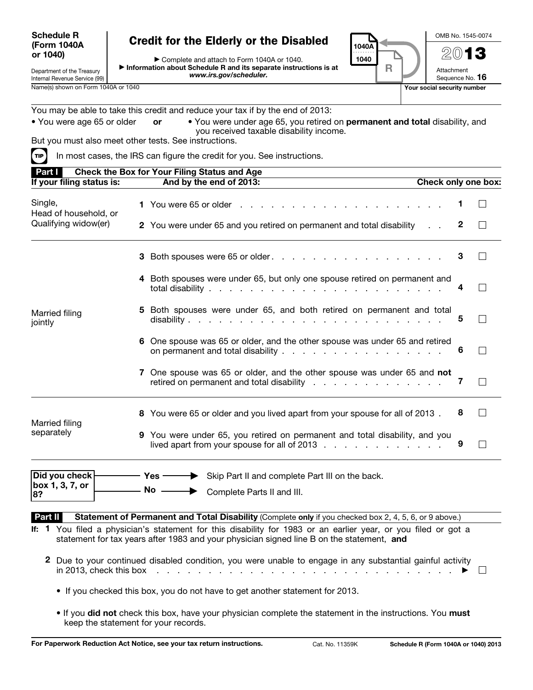## Schedule R (Form 1040A or 1040)

## Credit for the Elderly or the Disabled

▶ Complete and attach to Form 1040A or 1040. ▶ Information about Schedule R and its separate instructions is at *www.irs.gov/scheduler.*

1040A . . . . . . . . . . 1040 R ◀

OMB No. 1545-0074

2013

Attachment Sequence No. 16

Internal Revenue Service (99)

Department of the Treasury

You may be able to take this credit and reduce your tax if by the end of 2013:

| • You were age 65 or older | or | • You were under age 65, you retired on permanent and total disability, and |
|----------------------------|----|-----------------------------------------------------------------------------|
|                            |    | you received taxable disability income.                                     |

But you must also meet other tests. See instructions.

 $\text{Tr}$  In most cases, the IRS can figure the credit for you. See instructions.

| Part I                                          | <b>Check the Box for Your Filing Status and Age</b>                                                                                                                                                         |   |                   |
|-------------------------------------------------|-------------------------------------------------------------------------------------------------------------------------------------------------------------------------------------------------------------|---|-------------------|
| If your filing status is:                       | And by the end of 2013:<br>Check only one box:                                                                                                                                                              |   |                   |
| Single,<br>Head of household, or                |                                                                                                                                                                                                             |   | $\mathbf{I}$      |
| Qualifying widow(er)                            | 2 You were under 65 and you retired on permanent and total disability                                                                                                                                       | 2 | $\Box$            |
|                                                 | 3 Both spouses were 65 or older.                                                                                                                                                                            | 3 |                   |
|                                                 | 4 Both spouses were under 65, but only one spouse retired on permanent and                                                                                                                                  | 4 |                   |
| Married filing<br>jointly                       | 5 Both spouses were under 65, and both retired on permanent and total                                                                                                                                       | 5 |                   |
|                                                 | 6 One spouse was 65 or older, and the other spouse was under 65 and retired<br>on permanent and total disability                                                                                            | 6 | П                 |
|                                                 | 7 One spouse was 65 or older, and the other spouse was under 65 and not<br>retired on permanent and total disability                                                                                        | 7 | $\mathsf{L}$      |
| Married filing                                  | 8 You were 65 or older and you lived apart from your spouse for all of 2013.                                                                                                                                | 8 | П                 |
| separately                                      | 9 You were under 65, you retired on permanent and total disability, and you<br>lived apart from your spouse for all of 2013 $\ldots$                                                                        | 9 | $\vert \ \ \vert$ |
| Did you check $\vdash$<br>box 1, 3, 7, or<br>8? | $-$ Yes $-\!\!=$<br>Skip Part II and complete Part III on the back.<br>No  ightharpoonuplete Parts II and III.                                                                                              |   |                   |
| Part II                                         | Statement of Permanent and Total Disability (Complete only if you checked box 2, 4, 5, 6, or 9 above.)                                                                                                      |   |                   |
|                                                 | If: 1 You filed a physician's statement for this disability for 1983 or an earlier year, or you filed or got a<br>statement for tax years after 1983 and your physician signed line B on the statement, and |   |                   |
|                                                 | 2 Due to your continued disabled condition, you were unable to engage in any substantial gainful activity                                                                                                   |   |                   |

- If you checked this box, you do not have to get another statement for 2013.
- If you did not check this box, have your physician complete the statement in the instructions. You must keep the statement for your records.